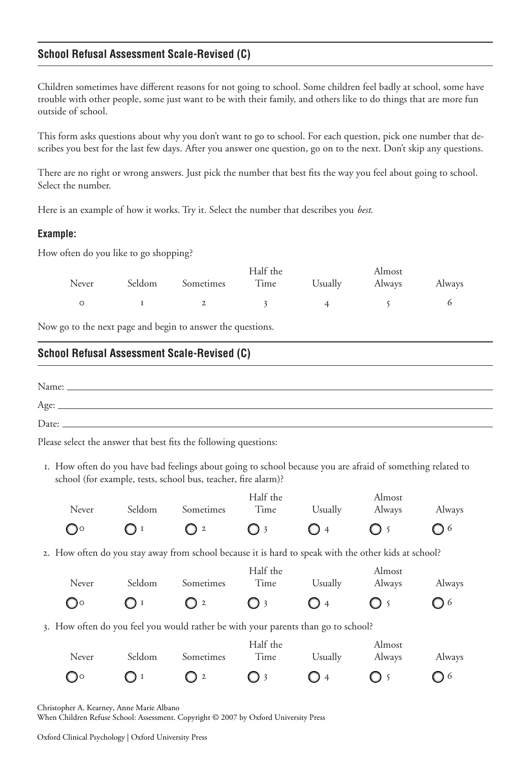## **School Refusal Assessment Scale-Revised (C)**

Children sometimes have different reasons for not going to school. Some children feel badly at school, some have trouble with other people, some just want to be with their family, and others like to do things that are more fun outside of school.

This form asks questions about why you don't want to go to school. For each question, pick one number that describes you best for the last few days. After you answer one question, go on to the next. Don't skip any questions.

There are no right or wrong answers. Just pick the number that best fits the way you feel about going to school. Select the number.

Here is an example of how it works. Try it. Select the number that describes you *best*.

## **Example:**

How often do you like to go shopping?

|       |                  | Half the |         | Almost |        |
|-------|------------------|----------|---------|--------|--------|
| Never | Seldom Sometimes | Time     | Usually | Always | Always |
|       |                  |          |         |        |        |

Now go to the next page and begin to answer the questions.

## **School Refusal Assessment Scale-Revised (C)**

| Name: |  |
|-------|--|
| Age:  |  |
| Date: |  |

Please select the answer that best fits the following questions:

. How often do you have bad feelings about going to school because you are afraid of something related to school (for example, tests, school bus, teacher, fire alarm)?

|                      |        |                                                                                                      | Half the         |                | Almost           |         |
|----------------------|--------|------------------------------------------------------------------------------------------------------|------------------|----------------|------------------|---------|
| Never                | Seldom | Sometimes                                                                                            | Time             | Usually        | Always           | Always  |
| $\mathbb{O}^{\circ}$ | OI     | $\mathbf{2}$                                                                                         | 3                | $\bigcup$ 4    |                  | Q 6     |
|                      |        | 2. How often do you stay away from school because it is hard to speak with the other kids at school? |                  |                |                  |         |
| Never                | Seldom | Sometimes                                                                                            | Half the<br>Time | Usually        | Almost<br>Always | Always  |
| $O^{\circ}$          | 1      | $\mathbf{2}$                                                                                         | 3                | O 4            |                  | ◯ 6     |
|                      |        | 3. How often do you feel you would rather be with your parents than go to school?                    |                  |                |                  |         |
| Never                | Seldom | Sometimes                                                                                            | Half the<br>Time | Usually        | Almost<br>Always | Always  |
| ിറ                   |        | $\boldsymbol{2}$                                                                                     | 3                | $\overline{4}$ |                  | $\circ$ |

Christopher A. Kearney, Anne Marie Albano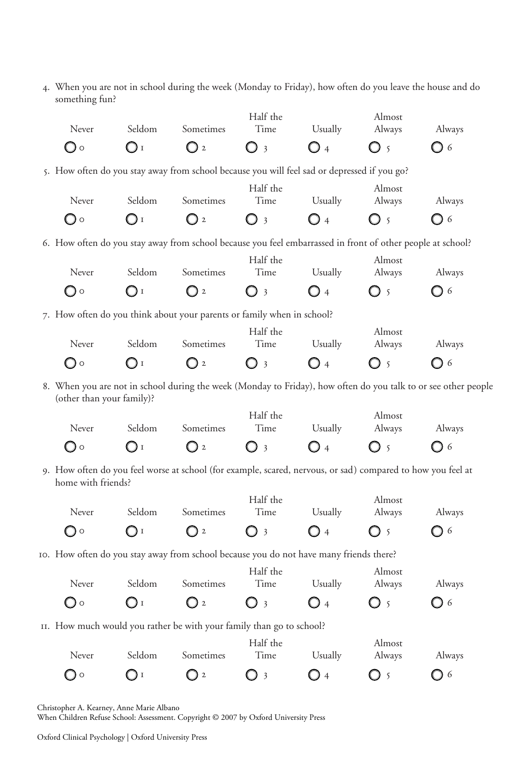. When you are not in school during the week (Monday to Friday), how often do you leave the house and do something fun?

| Never                                                                                                                             | Seldom         | Sometimes        | Half the<br>Time                | Usually        | Almost<br>Always | Always                                                                                                         |  |
|-----------------------------------------------------------------------------------------------------------------------------------|----------------|------------------|---------------------------------|----------------|------------------|----------------------------------------------------------------------------------------------------------------|--|
| Oo                                                                                                                                | $\bigcirc$ i   | $\bigcirc$ 2     | $\bigcirc$ 3                    | $\bigcirc$ 4   | $\bigcirc$ 5     | O 6                                                                                                            |  |
| 5. How often do you stay away from school because you will feel sad or depressed if you go?                                       |                |                  |                                 |                |                  |                                                                                                                |  |
| Never                                                                                                                             | Seldom         | Sometimes        | Half the<br>Time                | Usually        | Almost<br>Always | Always                                                                                                         |  |
| Oo                                                                                                                                | $\mathbf{O}$ i | $\bigcirc$ 2     | $\bigcirc$ 3                    | $\bigcirc$ 4   | O 5              | $\bigcirc$ 6                                                                                                   |  |
| 6. How often do you stay away from school because you feel embarrassed in front of other people at school?                        |                |                  |                                 |                |                  |                                                                                                                |  |
| Never                                                                                                                             | Seldom         | Sometimes        | Half the<br>Time                | Usually        | Almost           |                                                                                                                |  |
| ○○                                                                                                                                | OI             | $\bigcirc$ 2     | O 3                             | $\bigcirc$ 4   | Always<br>O 5    | Always<br>Q 6                                                                                                  |  |
|                                                                                                                                   |                |                  |                                 |                |                  |                                                                                                                |  |
| 7. How often do you think about your parents or family when in school?                                                            |                |                  | Half the                        |                | Almost           |                                                                                                                |  |
| Never                                                                                                                             | Seldom         | Sometimes        | Time                            | Usually        | Always           | Always                                                                                                         |  |
| ( ) o                                                                                                                             | O <sub>1</sub> | $\bigcirc$ 2     | $\bigcirc$ 3                    | $\bigcirc$ 4   | O 5              | O 6                                                                                                            |  |
| (other than your family)?                                                                                                         |                |                  |                                 |                |                  | 8. When you are not in school during the week (Monday to Friday), how often do you talk to or see other people |  |
| Never                                                                                                                             | Seldom         | Sometimes        | Half the<br>Time                | Usually        | Almost<br>Always | Always                                                                                                         |  |
| ○○                                                                                                                                | $\bigcirc$ i   | $\bigcirc$ 2     | () 3                            | O 4            | $\sqrt{2}$       | O 6                                                                                                            |  |
| 9. How often do you feel worse at school (for example, scared, nervous, or sad) compared to how you feel at<br>home with friends? |                |                  |                                 |                |                  |                                                                                                                |  |
| Never                                                                                                                             | Seldom         | Sometimes        | Half the<br>Time                | Usually        | Almost<br>Always | Always                                                                                                         |  |
| ◯○                                                                                                                                | ( ) 1          | O 2              | O 3                             | O 4            | 5                | ◯ 6                                                                                                            |  |
| 10. How often do you stay away from school because you do not have many friends there?                                            |                |                  |                                 |                |                  |                                                                                                                |  |
|                                                                                                                                   | Seldom         |                  | Half the                        |                | Almost           |                                                                                                                |  |
| Never<br>○○                                                                                                                       | OI             | Sometimes<br>O 2 | Time<br>$\overline{\mathbf{3}}$ | Usually<br>O 4 | Always<br>() 5   | Always<br><b>J</b> 6                                                                                           |  |
|                                                                                                                                   |                |                  |                                 |                |                  |                                                                                                                |  |
| II. How much would you rather be with your family than go to school?                                                              |                |                  | Half the                        |                | Almost           |                                                                                                                |  |

|           |               |             | Half the     |             | Almost      |             |  |
|-----------|---------------|-------------|--------------|-------------|-------------|-------------|--|
| Never     | Seldom        | Sometimes   | Time         | Usually     | Always      | Always      |  |
| $\bigcap$ | $\bigcap_{i}$ | $\bigcap 2$ | $\bigcirc$ 3 | $\bigcap$ 4 | $\bigcap$ 5 | $\bigcap$ 6 |  |

Christopher A. Kearney, Anne Marie Albano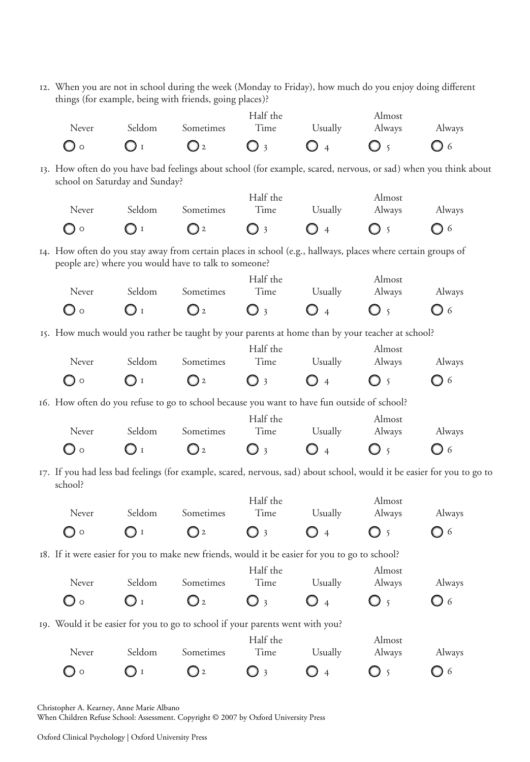. When you are not in school during the week (Monday to Friday), how much do you enjoy doing different things (for example, being with friends, going places)?

| Never                                                                                                                             | Seldom                         | Sometimes                                            | Half the<br>Time | Usually             | Almost<br>Always | Always       |  |
|-----------------------------------------------------------------------------------------------------------------------------------|--------------------------------|------------------------------------------------------|------------------|---------------------|------------------|--------------|--|
| ◯◦                                                                                                                                | O <sub>I</sub>                 | $\mathbf{O}_2$                                       | $\bigcirc$ 3     | O<br>$\overline{4}$ | O 5              | Q 6          |  |
| 13. How often do you have bad feelings about school (for example, scared, nervous, or sad) when you think about                   | school on Saturday and Sunday? |                                                      |                  |                     |                  |              |  |
| Never                                                                                                                             | Seldom                         | Sometimes                                            | Half the<br>Time | Usually             | Almost<br>Always | Always       |  |
| $\bigcirc$ o                                                                                                                      | $\bigcirc$ i                   | Q <sub>2</sub>                                       | $\bigcirc$ 3     | $\bigcirc$ 4        | O 5              | $\bigcirc$ 6 |  |
| 14. How often do you stay away from certain places in school (e.g., hallways, places where certain groups of                      |                                | people are) where you would have to talk to someone? |                  |                     |                  |              |  |
| Never                                                                                                                             | Seldom                         | Sometimes                                            | Half the<br>Time | Usually             | Almost<br>Always | Always       |  |
| ○○                                                                                                                                | $\bigcirc$ i                   | $\mathbf{O}$ <sub>2</sub>                            | $\bigcirc$ 3     | $\overline{4}$      | $\overline{5}$   | ○ 6          |  |
| 15. How much would you rather be taught by your parents at home than by your teacher at school?                                   |                                |                                                      |                  |                     |                  |              |  |
| Never                                                                                                                             | Seldom                         | Sometimes                                            | Half the<br>Time | Usually             | Almost<br>Always | Always       |  |
| $\bigcirc$ o                                                                                                                      | $\bigcirc$ i                   | $\bigcirc$ 2                                         | $\bigcirc$ 3     | $\overline{4}$      | $\overline{5}$   | ◯ 6          |  |
| 16. How often do you refuse to go to school because you want to have fun outside of school?                                       |                                |                                                      |                  |                     |                  |              |  |
| Never                                                                                                                             | Seldom                         | Sometimes                                            | Half the<br>Time | Usually             | Almost<br>Always | Always       |  |
| O 0                                                                                                                               | O <sub>I</sub>                 | Q <sub>2</sub>                                       | $\bigcirc$ 3     | $\bigcirc$ 4        | $\bigcirc$ 5     | $\bigcirc$ 6 |  |
| 17. If you had less bad feelings (for example, scared, nervous, sad) about school, would it be easier for you to go to<br>school? |                                |                                                      |                  |                     |                  |              |  |
| Never                                                                                                                             | Seldom                         | Sometimes                                            | Half the<br>Time | Usually             | Almost<br>Always | Always       |  |
| ( ) ⊙                                                                                                                             | ∪⊥                             | $\bigcirc$ 2                                         | $\bigcirc$ 3     | $\overline{4}$      | $\overline{5}$   | Q 6          |  |
| 18. If it were easier for you to make new friends, would it be easier for you to go to school?                                    |                                |                                                      |                  |                     |                  |              |  |
| Never                                                                                                                             | Seldom                         | Sometimes                                            | Half the<br>Time | Usually             | Almost<br>Always | Always       |  |
| $\mathbf{\mathsf{O}}$ o                                                                                                           | $\bigcirc$ i                   | $\mathbf{O}_2$                                       | $\bigcirc$ 3     | $\bigcirc$ 4        | O 5              | Q 6          |  |
| 19. Would it be easier for you to go to school if your parents went with you?                                                     |                                |                                                      | Half the         |                     | Almost           |              |  |
| Never                                                                                                                             | Seldom                         | Sometimes                                            | Time             | Usually             | Always           | Always       |  |
| $\bigcirc$ o                                                                                                                      | $\bigcirc$ i                   | $\mathbb{O}$ <sup>2</sup>                            | $\bigcirc$ 3     | O 4                 | $\bigcirc$ 5     | Q 6          |  |

Christopher A. Kearney, Anne Marie Albano